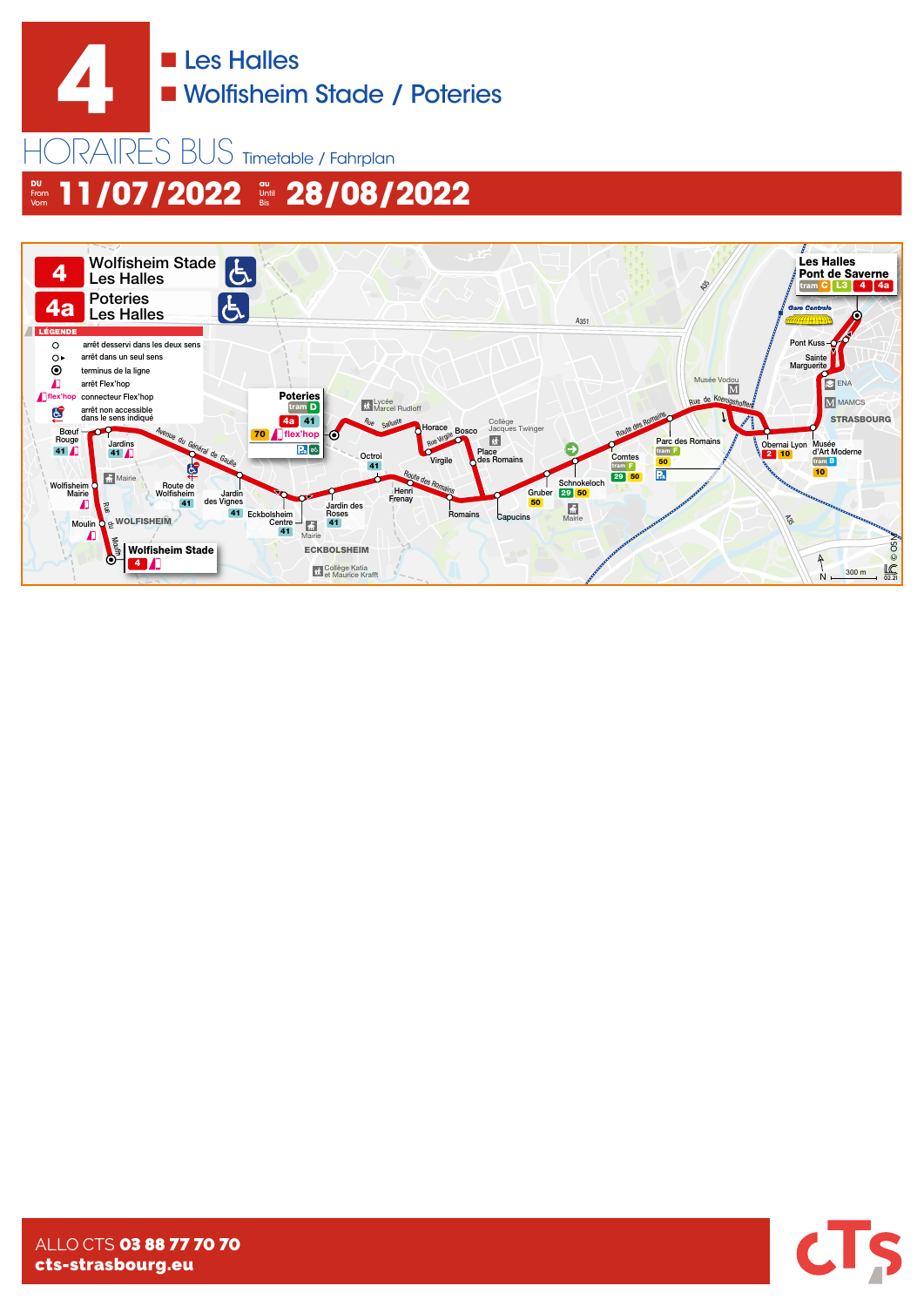

HORAIRES BUS Timetable / Fahrplan **DU** From **&** 11/07/2022 \* 28/08/2022





ALLO CTS 03 88 77 70 70 cts-strasbourg.eu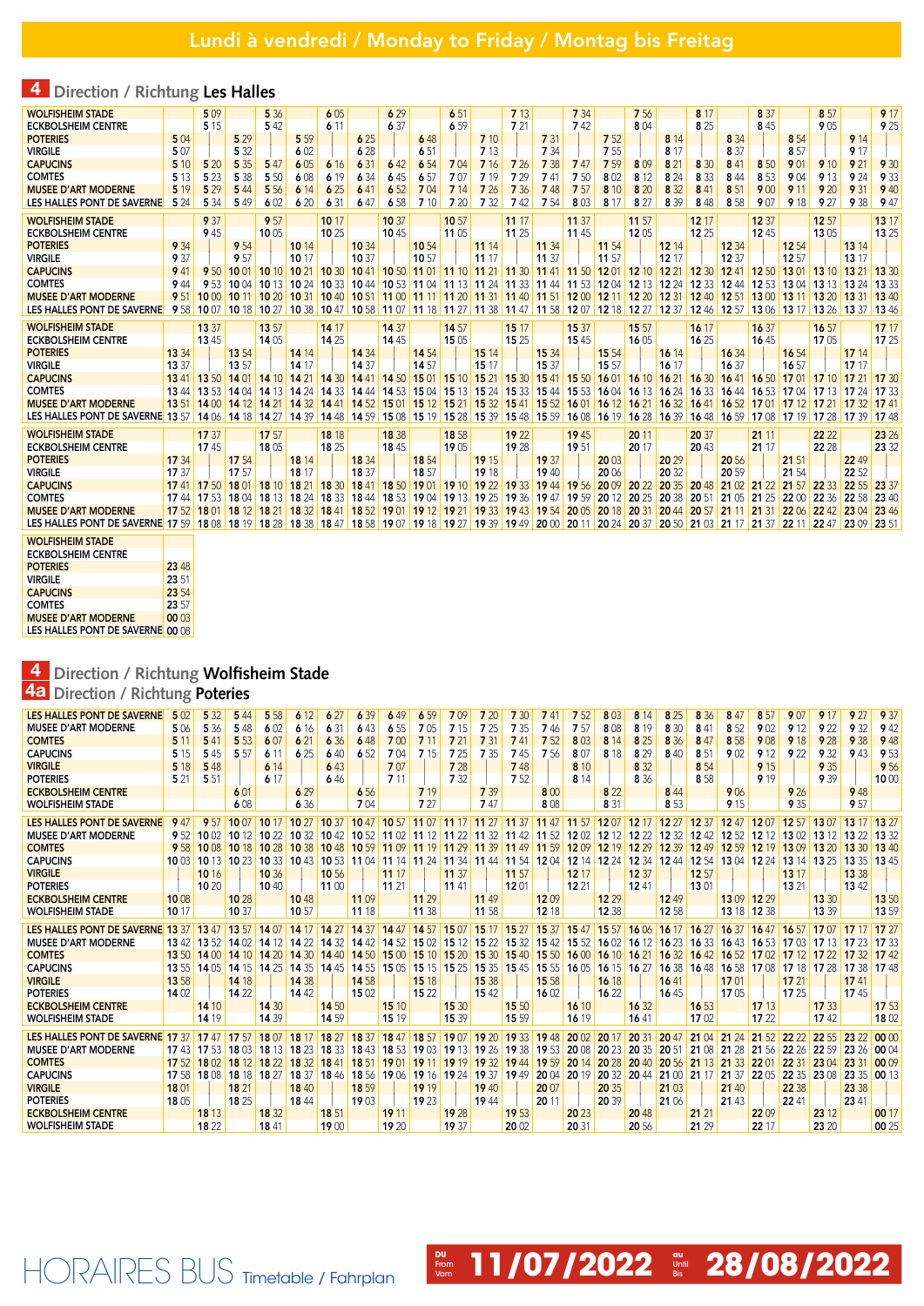## 4 **Direction / Richtung Les Halles**

| <b>WOLFISHEIM STADE</b>                                                                                                                                                                                                       |       | 509           |                                           | 5 3 6          |             | 605         |                | 6 29           |       | 651            |                | 7 13  |                                                                                                                                                 | 7 3 4 |                | 756           |                | 8 17        |                   | 8 3 7         |                         | 8 57        |                               | 9 17          |
|-------------------------------------------------------------------------------------------------------------------------------------------------------------------------------------------------------------------------------|-------|---------------|-------------------------------------------|----------------|-------------|-------------|----------------|----------------|-------|----------------|----------------|-------|-------------------------------------------------------------------------------------------------------------------------------------------------|-------|----------------|---------------|----------------|-------------|-------------------|---------------|-------------------------|-------------|-------------------------------|---------------|
| <b>ECKBOLSHEIM CENTRE</b>                                                                                                                                                                                                     |       | 5 1 5         |                                           | 542            |             | 6 1 1       |                | 6 37           |       | 659            |                | 721   |                                                                                                                                                 | 742   |                | 804           |                | 8 25        |                   | 845           |                         | 9 0 5       |                               | 9 25          |
| <b>POTERIES</b>                                                                                                                                                                                                               | 5 0 4 |               | 5 2 9                                     |                | 5 5 9       |             | 6 25           |                | 648   |                | 7 10           |       | 7 31                                                                                                                                            |       | 7 5 2          |               | 8 14           |             | 8 3 4             |               | 8 5 4                   |             | 9 14                          |               |
| <b>VIRGILE</b>                                                                                                                                                                                                                | 507   |               | 5 3 2                                     |                | 602         |             | 6 28           |                | 651   |                | 7 13           |       | 7 3 4                                                                                                                                           |       | 7 5 5          |               | 8 17           |             | 8 37              |               | 857                     |             | 917                           |               |
| <b>CAPUCINS</b>                                                                                                                                                                                                               | 5 10  | 5 20          | 5 3 5                                     | 547            | 605         | 6 16        | 6 31           | 642            | 654   | 704            | 7 16           | 7 26  | 7 3 8                                                                                                                                           | 747   | 7 5 9          | 809           | 8 21           | 8 3 0       | 841               | 8 5 0         | 901                     | 9 10        | 9 21                          | 9 30          |
| <b>COMTES</b>                                                                                                                                                                                                                 | 5 1 3 | 5 2 3         | 5 3 8                                     | 5 5 0          | 608         | 6 19        | 6 3 4          | 645            | 657   | 707            | 7 19           | 7 2 9 | 741                                                                                                                                             | 750   | 8 0 2          | 8 1 2         | 8 2 4          | 8 3 3       | 844               | 8 5 3         | 904                     | 9 1 3       | 9 24                          | 9 3 3         |
| <b>MUSEE D'ART MODERNE</b>                                                                                                                                                                                                    | 5 1 9 | 5 2 9         | 5 4 4                                     | 5 5 6          | 6 14        | 6 25        | 641            | 652            | 704   | 7 14           | 7 26           | 7 3 6 | 748                                                                                                                                             | 757   | 8 10           | 8 20          | 8 3 2          | 841         | 851               | 9 0 0         | 9 11                    | 9 20        | 9 31                          | 9 4 0         |
| LES HALLES PONT DE SAVERNE                                                                                                                                                                                                    | 5 2 4 | 5 3 4         | 549                                       | 602            | 6 20        | 6 31        | 647            | 6 5 8          | 7 10  | 7 20           | 7 3 2          | 742   | 7 54                                                                                                                                            | 803   | 8 17           | 8 27          | 8 3 9          | 848         | 8 5 8             | 907           | 9 18                    | 9 27        | 9 3 8                         | 9 47          |
| <b>WOLFISHEIM STADE</b>                                                                                                                                                                                                       |       | 9 37          |                                           | 9 57           |             | 10 17       |                | 10 37          |       | 10 57          |                | 11 17 |                                                                                                                                                 | 11 37 |                | 11 57         |                | 12 17       |                   | 12 37         |                         | 12 57       |                               | 13 17         |
| <b>ECKBOLSHEIM CENTRE</b>                                                                                                                                                                                                     |       | 9 4 5         |                                           | 1005           |             | 10 25       |                | 1045           |       | 11 05          |                | 11 25 |                                                                                                                                                 | 1145  |                | 1205          |                | 12 25       |                   | 1245          |                         | 13 05       |                               | 13 25         |
| <b>POTERIES</b>                                                                                                                                                                                                               | 9 3 4 |               | 9 5 4                                     |                | 10 14       |             | 10 34          |                | 10 54 |                | 11 14          |       | 11 34                                                                                                                                           |       | 11 54          |               | 12 14          |             | 12 34             |               | 12 54                   |             | 13 14                         |               |
| <b>VIRGILE</b>                                                                                                                                                                                                                | 9 37  |               | 9 57                                      |                | 10 17       |             | 10 37          |                | 10 57 |                | 11 17          |       | 11 37                                                                                                                                           |       | 11 57          |               | 12 17          |             | 12 37             |               | 12 57                   |             | 13 17                         |               |
| <b>CAPUCINS</b>                                                                                                                                                                                                               | 941   |               | 9 50 10 01                                | 10 10 10 21    |             | 10 30 10 41 |                | 10 50 11 01    |       |                | 11 10 11 21    |       | 11 30 11 41 11 50 12 01                                                                                                                         |       |                | 12 10 12 21   |                | 12 30 12 41 |                   | 12 50 13 01   |                         | 13 10 13 21 |                               | 13 30         |
| <b>COMTES</b>                                                                                                                                                                                                                 | 9 4 4 |               | 9 53 10 04                                |                | 10 13 10 24 |             | 10 33 10 44    |                |       |                |                |       | <b>10 53 11 04 11 13 11 24 11 33 11 44 11 53 12 04 12 13 12 24</b>                                                                              |       |                |               |                |             | 12 33 12 44       | 12 53 13 04   |                         | 13 13 13 24 |                               | 13.33         |
| <b>MUSEE D'ART MODERNE</b>                                                                                                                                                                                                    | 9 51  |               |                                           |                |             |             |                |                |       |                |                |       | 10 00 10 11 10 20 10 31 10 40 10 51 11 00 11 11 11 20 11 31 11 40 11 51 12 00 12 11 12 20 12 31 12 40 12 51 13 00 13 11 13 20 13 31             |       |                |               |                |             |                   |               |                         |             |                               | 1340          |
| LES HALLES PONT DE SAVERNE                                                                                                                                                                                                    | 9 58  |               |                                           |                |             |             |                |                |       |                |                |       | 10 10 27 10 38 10 47 10 58 1107 11 38 11 47 11 38 11 47 11 58 12 07 12 38 12 48 12 49 12 57 13 06 13 17 13 26 13 37                             |       |                |               |                |             |                   |               |                         |             |                               | 1346          |
|                                                                                                                                                                                                                               |       |               |                                           |                |             |             |                |                |       |                |                |       |                                                                                                                                                 |       |                |               |                |             |                   |               |                         |             |                               |               |
| <b>WOLFISHEIM STADE</b>                                                                                                                                                                                                       |       | 13 37<br>1345 |                                           | 13 57<br>14 05 |             | 14 17       |                | 14 37<br>14 45 |       | 14 57<br>15 05 |                | 15 17 |                                                                                                                                                 | 15 37 |                | 15 57<br>1605 |                | 16 17       |                   | 16 37<br>1645 |                         | 16 57       |                               | 1717<br>17 25 |
| <b>ECKBOLSHEIM CENTRE</b><br><b>POTERIES</b>                                                                                                                                                                                  | 13 34 |               |                                           |                | 14 14       | 14 25       |                |                | 14 54 |                |                | 15 25 |                                                                                                                                                 | 1545  |                |               |                | 16 25       |                   |               | 16 54                   | 1705        |                               |               |
| <b>VIRGILE</b>                                                                                                                                                                                                                | 13 37 |               | 13 54<br>13 57                            |                | 14 17       |             | 14 34<br>14 37 |                | 14 57 |                | 15 14<br>15 17 |       | 15 34<br>15 37                                                                                                                                  |       | 15 54<br>15 57 |               | 16 14<br>16 17 |             | 16 34<br>16 37    |               | 16 57                   |             | 17 14<br>17 17                |               |
| <b>CAPUCINS</b>                                                                                                                                                                                                               |       |               | 13 41 13 50 14 01 14 10 14 21 14 30 14 41 |                |             |             |                |                |       |                |                |       | 14 50 15 01 15 10 15 21 15 30 15 41 15 50 16 01 16 10 16 21 16 30 16 41                                                                         |       |                |               |                |             |                   |               | 16 50 17 01 17 10 17 21 |             |                               | 17 30         |
| <b>COMTES</b>                                                                                                                                                                                                                 |       |               |                                           |                |             |             |                |                |       |                |                |       | 13 44 13 53 14 04 14 13 14 24 14 33 14 44 14 53 15 04 15 13 15 24 15 33 15 44 15 53 16 04 16 13 16 24 16 33 16 44                               |       |                |               |                |             |                   |               |                         |             | 16 53 17 04 17 13 17 24 17 33 |               |
| <b>MUSEE D'ART MODERNE</b>                                                                                                                                                                                                    |       |               |                                           |                |             |             |                |                |       |                |                |       | 13 51 14 00 14 12 14 21 14 32 14 41 14 52 15 01 15 12 15 21 15 32 15 41 15 52 16 01 16 12 16 21 16 32 16 41 16 52 17 01 17 12 17 21 17 32 17 41 |       |                |               |                |             |                   |               |                         |             |                               |               |
| LES HALLES PONT DE SAVERNE 13 57   14 06   14 18   14 27   14 39   14 48   14 59   15 08   15 19   15 28   15 39   15 48   15 59   16 08   16 19   16 28   16 39   16 48   16 39   16 48   16 59   17 08   17 19   17 28   17 |       |               |                                           |                |             |             |                |                |       |                |                |       |                                                                                                                                                 |       |                |               |                |             |                   |               |                         |             |                               |               |
|                                                                                                                                                                                                                               |       |               |                                           |                |             |             |                |                |       |                |                |       |                                                                                                                                                 |       |                |               |                |             |                   |               |                         |             |                               |               |
| <b>WOLFISHEIM STADE</b>                                                                                                                                                                                                       |       | 17 37         |                                           | 17 57          |             | 18 18       |                | 18 38          |       | 18 58          |                | 19 22 |                                                                                                                                                 | 1945  |                | 20 11         |                | 20 37       |                   | 21 11         |                         | 22 22       |                               | 23 26         |
| <b>ECKBOLSHEIM CENTRE</b>                                                                                                                                                                                                     |       | 1745          |                                           | 18 05          |             | 18 25       |                | 1845           |       | 1905           |                | 19 28 |                                                                                                                                                 | 1951  |                | 20 17         |                | 20 43       |                   | 21 17         |                         | 22 28       |                               | 23 32         |
| <b>POTERIES</b>                                                                                                                                                                                                               | 17 34 |               | 17 54                                     |                | 18 14       |             | 18 34          |                | 18 54 |                | 19 15          |       | 19 37                                                                                                                                           |       | 20 03          |               | 20 29          |             | 20 56             |               | 21 51                   |             | 22 49                         |               |
| <b>VIRGILE</b>                                                                                                                                                                                                                | 17 37 |               | 17 57                                     |                | 18 17       |             | 18 37          |                | 18 57 |                | 19 18          |       | 1940                                                                                                                                            |       | 20 06          |               | 20 32          |             | 20 59             |               | 21 54                   |             | 22 52                         |               |
| <b>CAPUCINS</b>                                                                                                                                                                                                               |       |               |                                           |                |             |             |                |                |       |                |                |       | 17 41 17 50 18 01 18 10 18 21 18 30 18 41 18 50 19 01 19 10 19 22 19 33 19 44 19 56 20 09 20 22 20 35 20 48 21 02 21 22                         |       |                |               |                |             |                   |               | 21 57                   |             | 22 33 22 55 23 37             |               |
| <b>COMTES</b>                                                                                                                                                                                                                 |       |               | 17 44 17 53 18 04 18 13 18 24             |                |             |             |                |                |       |                |                |       | 18 33 18 44 18 53 19 04 19 13 19 25 19 36 19 47 19 59 20 12 20 25 20 38                                                                         |       |                |               |                |             | 20 51 21 05 21 25 |               | 22 00                   |             | 22 36 22 58                   | 2340          |
| <b>MUSEE D'ART MODERNE</b>                                                                                                                                                                                                    |       |               |                                           |                |             |             |                |                |       |                |                |       | 17 52 18 01 18 12 18 21 18 32 18 41 18 52 19 01 19 12 19 21 19 33 19 43 19 54 20 05 20 18 20 31 20 44 20 57 21 11 21 31                         |       |                |               |                |             |                   |               |                         |             | 22 06 22 42 23 04 23 46       |               |
| LES HALLES PONT DE SAVERNE 17 59 18 08 18 19 18 28 18 39 18 47 18 58 19 07 19 18 19 27 19 39 19 49 20 00 20 11 20 24 20 37 20 50 21 03 21 17 21 37 22 11 22 47 23 09 23 51                                                    |       |               |                                           |                |             |             |                |                |       |                |                |       |                                                                                                                                                 |       |                |               |                |             |                   |               |                         |             |                               |               |
| <b>WOLFISHEIM STADE</b>                                                                                                                                                                                                       |       |               |                                           |                |             |             |                |                |       |                |                |       |                                                                                                                                                 |       |                |               |                |             |                   |               |                         |             |                               |               |
| <b>ECKBOLSHEIM CENTRE</b>                                                                                                                                                                                                     |       |               |                                           |                |             |             |                |                |       |                |                |       |                                                                                                                                                 |       |                |               |                |             |                   |               |                         |             |                               |               |
| <b>POTERIES</b>                                                                                                                                                                                                               | 23 48 |               |                                           |                |             |             |                |                |       |                |                |       |                                                                                                                                                 |       |                |               |                |             |                   |               |                         |             |                               |               |
| <b>VIRGILE</b>                                                                                                                                                                                                                | 23 51 |               |                                           |                |             |             |                |                |       |                |                |       |                                                                                                                                                 |       |                |               |                |             |                   |               |                         |             |                               |               |

| <b>ECKBOLSHEIM CENTRE</b>        |       |
|----------------------------------|-------|
| <b>POTERIES</b>                  | 23 48 |
| <b>VIRGILE</b>                   | 23.51 |
| <b>CAPUCINS</b>                  | 23.54 |
| <b>COMTES</b>                    | 23.57 |
| <b>MUSEE D'ART MODERNE</b>       | 00 03 |
| LES HALLES PONT DE SAVERNE 00 08 |       |

#### 4 **Direction / Richtung Wolfisheim Stade**

HORAIRES BUS Timetable / Fahrplan

## 4a **Direction / Richtung Poteries**

| LES HALLES PONT DE SAVERNE       | 5.02  | 32<br>5 | 5 4 4 | 5 5 8 | 6 12             | 627      | 6 39         | 49    | 6.59  |                 | 7 20        | <b>730</b>       | 741             | 7.52     | 8 0 3 | 8<br>14  | 8 25  | 8 36     | 8 4 7     | 8 57     | 907   | 91        | 9 27  | 9 37             |
|----------------------------------|-------|---------|-------|-------|------------------|----------|--------------|-------|-------|-----------------|-------------|------------------|-----------------|----------|-------|----------|-------|----------|-----------|----------|-------|-----------|-------|------------------|
| <b>MUSEE D'ART MODERNE</b>       | 506   | 5 3 6   | 5 4 8 | 602   | 6 16             | 6 31     | 643          | 6 5 5 | 705   | 7 15            | 7 25        | 7 3 5            | 746             | 7 57     | 8 0 8 | 8 1 9    | 8 30  | 841      | 852       | 9 0 2    | 9 1 2 | 9 2 2     | 9 3 2 | 9 4 2            |
| <b>COMTES</b>                    | 5 1 1 | 541     | 5 5 3 | 6.07  | 621              | 6 36     | 648          | 700   | 711   | 721             | 7 31        | 741              | 7.52            | 8 0 3    | 8 14  | 8 25     | 8 3 6 | 8 47     | 8 5 8     | 9 0 8    | 9 18  | 9 28      | 9 38  | 9 4 8            |
| <b>CAPUCINS</b>                  | 5 1 5 | 545     | 5 57  | 611   | 6 25             | 640      | 6.52         | 7 04  | 7 15  | 7 25            | 7 3 5       | 745              | 7.56            | 8.07     | 8 1 8 | 8 2 9    | 840   | 851      | 902       | 912      | 922   | 9 3 2     | 9 4 3 | 9 5 3            |
| <b>VIRGILE</b>                   | 5 18  | 5 4 8   |       | 6 14  |                  | 643      |              | 707   |       | 7 28            |             | 7 48             |                 | 8 10     |       | 8 3 2    |       | 8 5 4    |           | 9 15     |       | 9 3 5     |       | 9 5 6            |
| <b>POTERIES</b>                  | 5 21  | 5 51    |       | 6 17  |                  | 646      |              | 7 11  |       | 7 32            |             | 7 52             |                 | 8 1 4    |       | 8 36     |       | 8 5 8    |           | 9 1 9    |       | 9 39      |       | 1000             |
| <b>ECKBOLSHEIM CENTRE</b>        |       |         | 601   |       | 6 29             |          | 6 5 6        |       | 7 1 9 |                 | 7 3 9       |                  | 8 <sub>00</sub> |          | 8 2 2 |          | 8 4 4 |          | 906       |          | 9 26  |           | 9 4 8 |                  |
| <b>WOLFISHEIM STADE</b>          |       |         | 608   |       | 6 3 6            |          | 7 04         |       | 727   |                 | 747         |                  | 8 0 8           |          | 8 3 1 |          | 853   |          | 9 15      |          | 9 3 5 |           | 9 57  |                  |
| LES HALLES PONT DE SAVERNE       | 9 47  | 9.57    | 1007  | 10 17 | 10 <sub>27</sub> | 10.37    | 1047         | 10.57 | 11 07 | $1117$ 11 27    |             | 11 37            | 11 47           | 11 57    | 1207  | 12 17    | 12.27 | 12 37    | 1247      | 1207     | 12.57 | 13.07     | 13 17 | 13.27            |
| <b>MUSEE D'ART MODERNE</b>       | 9.52  | 1002    | 1012  | 10.22 | 10 32            |          | 10 42 10 52  | 1102  | 11    | $1122$ 11       | 32          |                  | 11 42 11 52     | 1202     | 12 12 | 12<br>22 | 12 32 | 1242     | 12.52     | 1212     | 1302  | 13<br>12  | 13    | 13 32            |
| <b>COMTES</b>                    | 9.58  | 10 08   | 10 18 | 10 28 | 10 38            | 1048     | 10 59        | 11 09 | 11 19 | 11 29           | 11 39       | 11 49            | 11 59           | 1209     | 12 19 | 12 29    | 12 39 | 12 49    | 12.59     | 12 19    | 1309  | 1320      | 13.30 | 13 40            |
| <b>CAPUCINS</b>                  | 10 03 | 1013    | 10 23 | 10 33 | 1043             | 10.53    | 11 04        | 14    | 11 24 | 11 34 11 44     |             | 11 54            | 1204            | 12 14    | 12 24 | 12 34    | 1244  | 12 54    | 13 04     | 12 24    | 13 14 | 13 25     | 13 35 | 1345             |
| <b>VIRGILE</b>                   |       | 10 16   |       | 10 36 |                  | 10 56    |              | 11 17 |       | 11 37           |             | 11 57            |                 | 12 17    |       | 12 37    |       | 12 57    |           |          | 13 17 |           | 13 38 |                  |
| <b>POTERIES</b>                  |       | 10,20   |       | 1040  |                  | 1100     |              | 11 21 |       | 1141            |             | 12 01            |                 | 12 21    |       | 1241     |       | 13 01    |           |          | 13 21 |           | 1342  |                  |
| <b>ECKBOLSHEIM CENTRE</b>        | 1008  |         | 10 28 |       | 1048             |          | 11 09        |       | 11 29 |                 | 11 49       |                  | 1209            |          | 12 29 |          | 12 49 |          | 1309      | 12 29    |       | 13 30     |       | 13 50            |
| <b>WOLFISHEIM STADE</b>          | 10 17 |         | 10 37 |       | 10 57            |          | 11 18        |       | 11 38 |                 | 11 58       |                  | 12 18           |          | 12 38 |          | 12 58 |          | 13 18     | 12 38    |       | 13 39     |       | 13 59            |
|                                  |       |         |       |       |                  |          |              |       |       |                 |             |                  |                 |          |       |          |       |          |           |          |       |           |       |                  |
| LES HALLES PONT DE SAVERNE 13 37 |       | 13.47   | 13.57 | 1407  | 14 17            | 14       | 14 37        | 14 47 | 14 57 | 1507            | 15 17       | 15 <sub>27</sub> | 15 37           | 1547     | 15 57 | 1606     | 16 17 | 16.27    | 16 37     | 1647     | 16.57 | 1707      |       | 17 <sub>27</sub> |
| <b>MUSEE D'ART MODERNE</b>       | 1342  | 13.52   | 1402  | 14    | 1422             | 14<br>32 | 14 42        | 14.52 | 1502  | <b>15</b><br>12 | 15<br>22    | 32<br>15         | 1542            | 15<br>52 | 1602  | 16 12    | 16 23 | 16       | 1643      | 16 53    | 1703  | 13        | 17    | 17.33            |
| <b>COMTES</b>                    | 13.50 | 1400    | 1410  | 1420  | 14 30            |          | $1440$ 14 50 | 1500  | 1510  | 1520            | 1530        | 1540             | 15 50           | 1600     | 16 10 | 1621     | 16 32 | 1642     | 16 52     | 1702     | 1712  |           | 17    | 1742             |
| <b>CAPUCINS</b>                  | 1355  | 14 05   | 1415  | 14 25 | 14 35            |          | 14 45 14 55  | 15 05 | 1515  | 1525            | 1535        | 1545             | 1555            | 16 05    | 16 15 | 16 27    | 16 38 | 1648     | 16 58     | 1708     | 17 18 | 17 28     | 17 38 | 1748             |
| <b>VIRGILE</b>                   | 13 58 |         | 14 18 |       | 14 38            |          | 14 58        |       | 15 18 |                 | 15 38       |                  | 15 58           |          | 16 18 |          | 1641  |          | 17 01     |          | 17 21 |           | 1741  |                  |
| <b>POTERIES</b>                  | 1402  |         | 14 22 |       | 1442             |          | 1502         |       | 15 22 |                 | 1542        |                  | 1602            |          | 1622  |          | 16 45 |          | 17 05     |          | 17 25 |           | 1745  |                  |
| <b>ECKBOLSHEIM CENTRE</b>        |       | 14 10   |       | 14 30 |                  | 14 50    |              | 15 10 |       | 15 30           |             | 15 50            |                 | 16 10    |       | 16 32    |       | 16 53    |           | 17 13    |       | 17 33     |       | 17 53            |
| <b>WOLFISHEIM STADE</b>          |       | 14 19   |       | 14 39 |                  | 14 59    |              | 15 19 |       | 15 39           |             | 15 59            |                 | 16 19    |       | 1641     |       | 1702     |           | 1722     |       | 1742      |       | 18 02            |
| LES HALLES PONT DE SAVERNE 17 37 |       | 1747    | 17.57 | 18.07 | 18 17            | 18 27    | 18 37        | 1847  | 18 57 | 19 07           | 1920        | 19 33 19 48      |                 | 2002     | 20 17 | 20 31    | 2047  | 21 04    | 21<br>24  | 21<br>52 |       | 22.55     | 23.22 | 0000             |
| <b>MUSEE D'ART MODERNE</b>       | 1743  | 17 53   | 18 03 | 18 13 | 18               | 18<br>33 | 1843         | 18.53 | 1903  |                 | 19 13 19 26 |                  | 19 38 19 53     | 20 08    | 20 23 | 20 35    | 20 51 | 21<br>08 | 21<br>28  | 21 56    | 22 26 | 22<br>.59 | 23 26 | 00 04            |
| <b>COMTES</b>                    | 17.52 | 1802    | 18 12 | 18 22 | 18 32            | 18<br>41 | 18.51        | 19 01 | 19    | 19 19           | 19 32       | 1944             | 19 59           | 20 14    | 20 28 | 20 40    | 20 56 | 21 13    | 33<br>21  | 22 01    | 22 31 | 23 04     | 23 31 | 00 09            |
| <b>CAPUCINS</b>                  | 17.58 | 1808    | 18 18 | 18 27 | 18 37            | 1846     | <b>18</b> 56 | 19 06 | 19 16 | 19 24           | 19 37       | 1949             | 20 04           | 20 19    | 20 32 | 2044     | 21 00 | 21       | 21<br>-37 | 22 05    | 22 35 | 23 08     | 23 35 | 00 13            |
| <b>VIRGILE</b>                   | 18 01 |         | 18 21 |       | 18 40            |          | 18 59        |       | 19 19 |                 | 19 40       |                  | 20 07           |          | 20 35 |          | 21 03 |          | 21 40     |          | 22 38 |           | 23 38 |                  |
| <b>POTERIES</b>                  | 18 05 |         | 18 25 |       | 1844             |          | 19 03        |       | 19 23 |                 | 1944        |                  | 20 11           |          | 20 39 |          | 21 06 |          | 21 43     |          | 22 41 |           | 23 41 |                  |
| <b>ECKBOLSHEIM CENTRE</b>        |       | 18 13   |       | 18 32 |                  | 18 51    |              | 19 11 |       | 19 28           |             | 19 53            |                 | 20 23    |       | 20 48    |       | 21 21    |           | 2209     |       | 23 12     |       | 00 17            |
| <b>WOLFISHEIM STADE</b>          |       | 18 22   |       | 1841  |                  | 1900     |              | 19.20 |       | 19 37           |             | 20 02            |                 | 20 31    |       | 20 56    |       | 21 29    |           | 22 17    |       | 23 20     |       | 00 25            |
|                                  |       |         |       |       |                  |          |              |       |       |                 |             |                  |                 |          |       |          |       |          |           |          |       |           |       |                  |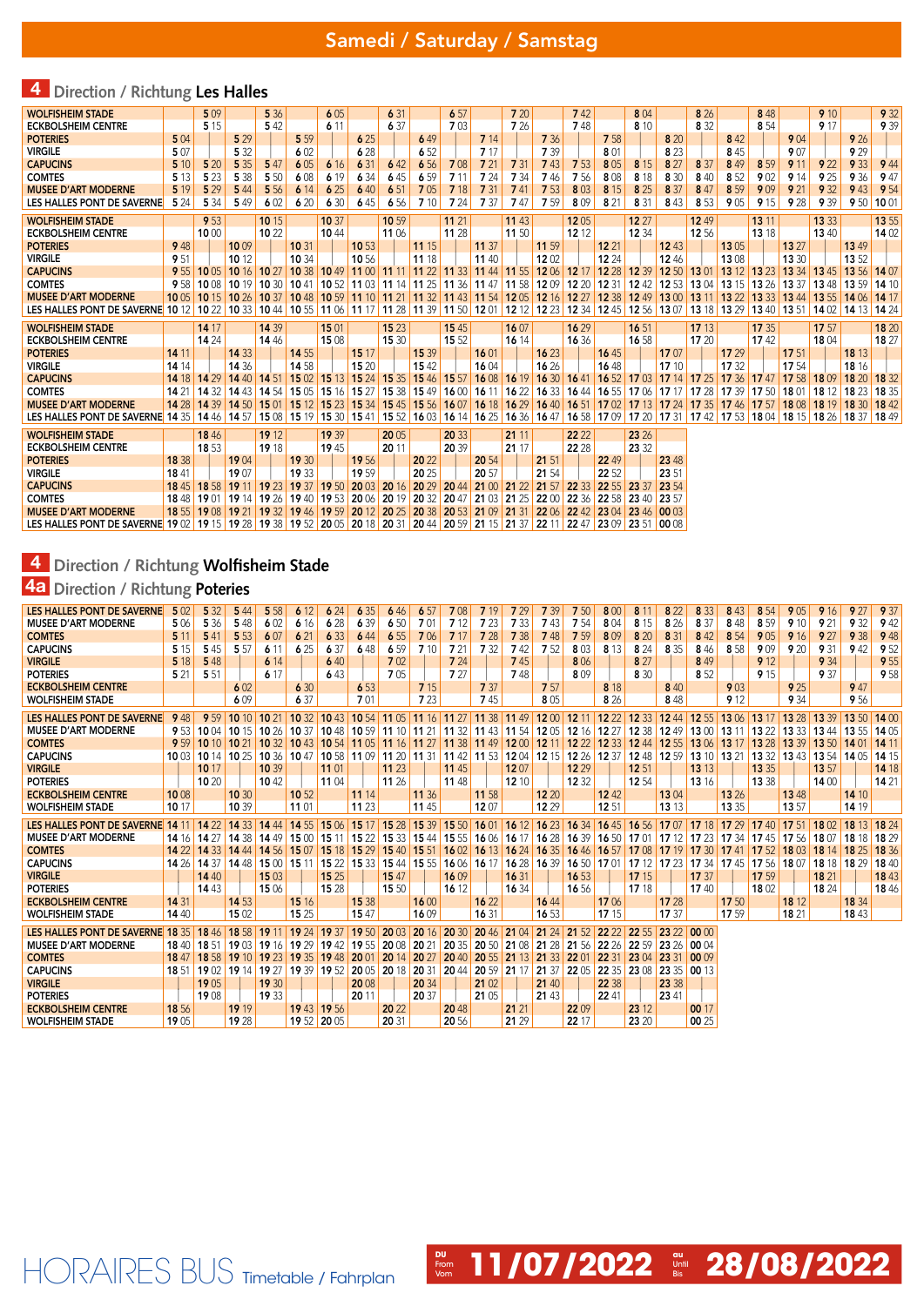# 4 **Direction / Richtung Les Halles**

| <b>WOLFISHEIM STADE</b>                                                                                                                                          |               | 5 0 9 |                   | 5 3 6         |                                                                                       | 605           |                | 6 31           |                         | 6 57           |                | 7 20           |                                                                                                                       | 742               |                | 804                           |                | 8 26  |                                                                                                                                           | 8 4 8 |                   | 9 10  |                                                                               | 9 3 2 |
|------------------------------------------------------------------------------------------------------------------------------------------------------------------|---------------|-------|-------------------|---------------|---------------------------------------------------------------------------------------|---------------|----------------|----------------|-------------------------|----------------|----------------|----------------|-----------------------------------------------------------------------------------------------------------------------|-------------------|----------------|-------------------------------|----------------|-------|-------------------------------------------------------------------------------------------------------------------------------------------|-------|-------------------|-------|-------------------------------------------------------------------------------|-------|
| <b>ECKBOLSHEIM CENTRE</b>                                                                                                                                        |               | 5 1 5 |                   | 542           |                                                                                       | 6 1 1         |                | 6 37           |                         | 7 0 3          |                | 7 26           |                                                                                                                       | 748               |                | 8 1 0                         |                | 8 3 2 |                                                                                                                                           | 8 5 4 |                   | 9 17  |                                                                               | 9 3 9 |
| <b>POTERIES</b>                                                                                                                                                  | 504           |       | 5 2 9             |               | 5 5 9                                                                                 |               | 6 25           |                | 649                     |                | 7 14           |                | 7 3 6                                                                                                                 |                   | 7 5 8          |                               | 8 20           |       | 842                                                                                                                                       |       | 904               |       | 9 26                                                                          |       |
| <b>VIRGILE</b>                                                                                                                                                   | 5 0 7         |       | 5 3 2             |               | 602                                                                                   |               | 6 28           |                | 652                     |                | 7 17           |                | 7 39                                                                                                                  |                   | 8 0 1          |                               | 8 2 3          |       | 845                                                                                                                                       |       | 9 0 7             |       | 929                                                                           |       |
| <b>CAPUCINS</b>                                                                                                                                                  | 5 10          | 5 20  | 5 3 5             | 547           | 605                                                                                   | 6 16          | 6 31           | 642            | 6 5 6                   | 708            | 7 21           | 7 31           | 743                                                                                                                   | 7 5 3             | 8 0 5          | 8 1 5                         | 8 27           | 8 3 7 | 849                                                                                                                                       | 8 5 9 | 9 1 1             | 9 2 2 | 9 3 3                                                                         | 9 4 4 |
| <b>COMTES</b>                                                                                                                                                    | 5 1 3         | 5 2 3 | 5 3 8             | 5 5 0         | 608                                                                                   | 6 19          | 6 3 4          | 645            | 6 5 9                   | 7 1 1          | 7 24           | 7 34           | 746                                                                                                                   | 7 5 6             | 8 0 8          | 8 1 8                         | 8 3 0          | 8 4 0 | 852                                                                                                                                       | 902   | 9 1 4             | 9 25  | 9 3 6                                                                         | 9 47  |
| <b>MUSEE D'ART MODERNE</b>                                                                                                                                       | 5 1 9         | 5 2 9 | 5 4 4             | 5 5 6         | 6 14                                                                                  | 6 25          | 6 40           | 651            | 705                     | 7 18           | 7 31           | 741            | 7 5 3                                                                                                                 | 803               | 8 1 5          | 8 2 5                         | 8 3 7          | 847   | 8 5 9                                                                                                                                     | 909   | 9 21              | 9 3 2 | 9 4 3                                                                         | 9 5 4 |
| LES HALLES PONT DE SAVERNE                                                                                                                                       | 5 2 4         | 5 3 4 | 549               | 602           | 620                                                                                   | 6 30          | 645            | 6 5 6          | 7 10                    | 7 24           | 7 37           | 747            | 7 5 9                                                                                                                 | 809               | 8 2 1          | 8 3 1                         | 843            | 8 5 3 | 9 0 5                                                                                                                                     | 9 15  | 9 2 8             | 9 3 9 | 9 50 10 01                                                                    |       |
| <b>WOLFISHEIM STADE</b>                                                                                                                                          |               | 9 5 3 |                   | 10 15         |                                                                                       | 10 37         |                | 10 59          |                         | 11 21          |                | 11 43          |                                                                                                                       | 1205              |                | 12 27                         |                | 12 49 |                                                                                                                                           | 13 11 |                   | 13 33 |                                                                               | 13 55 |
| <b>ECKBOLSHEIM CENTRE</b>                                                                                                                                        |               | 1000  |                   | 10 22         |                                                                                       | 1044          |                | 11 06          |                         | 11 28          |                | 11 50          |                                                                                                                       | 12 12             |                | 12 34                         |                | 12 56 |                                                                                                                                           | 13 18 |                   | 13 40 |                                                                               | 14 02 |
| <b>POTERIES</b>                                                                                                                                                  | 9 4 8         |       | 1009              |               | 10 31                                                                                 |               | 10 53          |                | 11 15                   |                | 11 37          |                | 11 59                                                                                                                 |                   | 12 21          |                               | 12 43          |       | 1305                                                                                                                                      |       | 13 27             |       | 13 49                                                                         |       |
| <b>VIRGILE</b>                                                                                                                                                   | 951           |       | 10 12             |               | 10 34                                                                                 |               | 10 56          |                | 11 18                   |                | 11 40          |                | 1202                                                                                                                  |                   | 12 24          |                               | 12 46          |       | 1308                                                                                                                                      |       | 13 30             |       | 13 52                                                                         |       |
| <b>CAPUCINS</b>                                                                                                                                                  | 9 5 5         |       | 10 05 10 16 10 27 |               | 10.38                                                                                 |               | $1049$ 11 00   |                | 11 11 11 22 11 33       |                | 11 44 11 55    |                |                                                                                                                       | 12 06 12 17 12 28 |                | 12 39                         | 12 50 13 01    |       | $1312$ 13 23                                                                                                                              |       | 13 34 13 45       |       | 13 56 14 07                                                                   |       |
| <b>COMTES</b>                                                                                                                                                    | 9 5 8         |       | 10 08 10 19 10 30 |               | 10 41 10 52 11 03 11 14 11 25                                                         |               |                |                |                         | 11 36 11 47    |                | 11 58          |                                                                                                                       | 12 09 12 20       | 12 31          | 12 42 12 53 13 04             |                |       | 13 15 13 26                                                                                                                               |       | 13 37 13 48       |       | 13 59                                                                         | 1410  |
| <b>MUSEE D'ART MODERNE</b>                                                                                                                                       | 1005          |       |                   |               |                                                                                       |               |                |                |                         |                |                |                | 10 15   10 26   10 37   10 48   10 59   11 10   11 21   11 32   11 43   11 54   12 05   12 16   12 27   12 38   12 49 |                   |                |                               |                |       | 13 00 13 11 13 22 13 33                                                                                                                   |       | 13 44 13 55 14 06 |       |                                                                               | 1417  |
| LES HALLES PONT DE SAVERNE 10 12                                                                                                                                 |               |       |                   |               | 10 22 10 33 10 44 10 55 11 06 11 17                                                   |               |                |                | 11 28 11 39 11 50 12 01 |                |                |                |                                                                                                                       |                   |                |                               |                |       |                                                                                                                                           |       |                   |       | 12 12 12 23 12 34 12 45 12 56 13 07 13 18 13 29 13 40 13 51 14 02 14 13 14 24 |       |
| <b>WOLFISHEIM STADE</b>                                                                                                                                          |               | 14 17 |                   | 14 39         |                                                                                       | 1501          |                | 15 23          |                         | 15 45          |                | 16 07          |                                                                                                                       | 16 29             |                | 16 51                         |                | 17 13 |                                                                                                                                           | 17 35 |                   | 17 57 |                                                                               | 18 20 |
| <b>ECKBOLSHEIM CENTRE</b>                                                                                                                                        |               | 14 24 |                   | 1446          |                                                                                       | 1508          |                | 15 30          |                         | 15 52          |                | 16 14          |                                                                                                                       | 16 36             |                | 16 58                         |                | 17 20 |                                                                                                                                           | 1742  |                   | 18 04 |                                                                               | 18 27 |
| <b>POTERIES</b>                                                                                                                                                  | 14 11         |       | 14 3 3            |               | 14 55                                                                                 |               | 15 17          |                | 15 39                   |                | 16 01          |                | 16 23                                                                                                                 |                   | 1645           |                               | 1707           |       | 17 29                                                                                                                                     |       | 17 51             |       | 18 13                                                                         |       |
| <b>VIRGILE</b>                                                                                                                                                   | 14 14         |       | 14 36             |               | 14 58                                                                                 |               | 15 20          |                | 1542                    |                | 1604           |                | 16 26                                                                                                                 |                   | 1648           |                               | 17 10          |       | 17 32                                                                                                                                     |       | 17 54             |       | 18 16                                                                         |       |
| <b>CAPUCINS</b>                                                                                                                                                  | 14 18         |       | 14 29 14 40 14 51 |               | 1502                                                                                  | 15 13 15 24   |                | 15 35          | 1546                    | 15 57          | 1608           | 16 19          | 16 30 16 41                                                                                                           |                   |                | 16 52 17 03 17 14             |                | 1725  | 17 36 17 47                                                                                                                               |       | 17 58 18 09       |       | 18 20                                                                         | 18 32 |
| <b>COMTES</b>                                                                                                                                                    | 14 21         |       | 14 32 14 43       | 1454          | 1505                                                                                  | 15 16 15 27   |                | $1538$ 1549    |                         | 16 00          | 1611           | 1622           |                                                                                                                       |                   |                | 16 33 16 44 16 55 17 06 17 17 |                | 17 28 | 17 39 17 50                                                                                                                               |       | 1801              |       | 18 12 18 23 18 35                                                             |       |
| <b>MUSEE D'ART MODERNE</b>                                                                                                                                       | 14 28         |       | 14 39 14 50       | 15 01         |                                                                                       |               |                |                |                         |                |                |                |                                                                                                                       |                   |                |                               |                |       | 1 15 12 15 23 15 34 15 45 15 56 16 07 16 18 16 29 16 40 16 51 17 02 17 13 17 24 17 35 17 46 17 57                                         |       |                   |       | 18 08 18 19 18 30 18 42                                                       |       |
| LES HALLES PONT DE SAVERNE 14 35                                                                                                                                 |               |       |                   |               |                                                                                       |               |                |                |                         |                |                |                |                                                                                                                       |                   |                |                               |                |       |                                                                                                                                           |       |                   |       |                                                                               |       |
|                                                                                                                                                                  |               |       |                   |               |                                                                                       |               |                |                |                         |                |                |                |                                                                                                                       |                   |                |                               |                |       | 14 46 14 57 15 08 15 19 15 30 15 41 15 52 16 03 16 14 16 25 16 36 16 47 16 58 17 09 17 30 17 31 17 42 17 53 18 04 18 15 18 26 18 37 18 49 |       |                   |       |                                                                               |       |
|                                                                                                                                                                  |               |       |                   |               |                                                                                       |               |                |                |                         |                |                |                |                                                                                                                       |                   |                |                               |                |       |                                                                                                                                           |       |                   |       |                                                                               |       |
| <b>WOLFISHEIM STADE</b>                                                                                                                                          |               | 1846  |                   | 1912<br>19 18 |                                                                                       | 19 39<br>1945 |                | 20 05<br>20 11 |                         | 20 33<br>20 39 |                | 21 11<br>21 17 |                                                                                                                       | 22 22             |                | 23 26                         |                |       |                                                                                                                                           |       |                   |       |                                                                               |       |
| <b>ECKBOLSHEIM CENTRE</b>                                                                                                                                        |               | 18 53 |                   |               |                                                                                       |               |                |                |                         |                |                |                |                                                                                                                       | 22 28             |                | 23 32                         |                |       |                                                                                                                                           |       |                   |       |                                                                               |       |
| <b>POTERIES</b><br><b>VIRGILE</b>                                                                                                                                | 18 38<br>1841 |       | 1904<br>1907      |               | 19 30<br>19 33                                                                        |               | 19 56<br>19 59 |                | 20 22<br>20 25          |                | 20 54<br>20 57 |                | 21 51<br>21 54                                                                                                        |                   | 22 49<br>22 52 |                               | 23 48<br>23 51 |       |                                                                                                                                           |       |                   |       |                                                                               |       |
| <b>CAPUCINS</b>                                                                                                                                                  | 1845          |       |                   |               | 18 58 19 11 19 23 19 37 19 50 20 03 20 16 20 29                                       |               |                |                |                         |                | 2044 21 00     | 21 22          | 21 57                                                                                                                 | 22 33             | 22 55 23 37    |                               | 23 54          |       |                                                                                                                                           |       |                   |       |                                                                               |       |
| <b>COMTES</b>                                                                                                                                                    | 1848          |       |                   |               | 19 01 19 14 19 26 19 40 19 53 20 06 20 19 20 32 20 47 21 03                           |               |                |                |                         |                |                | 21 25          | 2200                                                                                                                  | 22 36             | 22 58 23 40    |                               | 23 57          |       |                                                                                                                                           |       |                   |       |                                                                               |       |
| <b>MUSEE D'ART MODERNE</b>                                                                                                                                       | 1855          |       |                   |               | 19 08   19 21   19 32   19 46   19 59   20 12   20 25   20 38   20 53   21 09   21 31 |               |                |                |                         |                |                |                | 22 06 22 42 23 04 23 46 00 03                                                                                         |                   |                |                               |                |       |                                                                                                                                           |       |                   |       |                                                                               |       |
| LES HALLES PONT DE SAVERNE 19 02   19 15   19 28   19 38   19 52   20 05   20 18   20 31   20 44   20 59   21 15   21 37   22 11   22 47   23 09   23 51   00 08 |               |       |                   |               |                                                                                       |               |                |                |                         |                |                |                |                                                                                                                       |                   |                |                               |                |       |                                                                                                                                           |       |                   |       |                                                                               |       |

## 4 **Direction / Richtung Wolfisheim Stade**

HORAIRES BUS Timetable / Fahrplan

### 4a **Direction / Richtung Poteries**

| LES HALLES PONT DE SAVERNE       | 5 0 2 | 5 3 2       | 5 4 4       | 5 5 8             | 6 12                                | 624          | 6 3 5                                                    | 646         | 6 57  | 708                           | 7 19                 | 7 29         | 7 3 9                               | 7 50         | 8 0 0            | 8 1 1 | 8 2 2          | 8 3 3 | 843   | 8 5 4       | 905   | 9 16              | 9 27         | 9 37  |
|----------------------------------|-------|-------------|-------------|-------------------|-------------------------------------|--------------|----------------------------------------------------------|-------------|-------|-------------------------------|----------------------|--------------|-------------------------------------|--------------|------------------|-------|----------------|-------|-------|-------------|-------|-------------------|--------------|-------|
| <b>MUSEE D'ART MODERNE</b>       | 5 0 6 | 5 3 6       | 548         | 602               | 6 16                                | 6 28         | 6 3 9                                                    | 6 50        | 701   | 7 1 2                         | 7 23                 | 7 3 3        | 743                                 | 754          | 804              | 8 1 5 | 8 2 6          | 8 37  | 848   | 8 5 9       | 9 10  | 9 21              | 9 3 2        | 9 4 2 |
| <b>COMTES</b>                    | 5 1 1 | 541         | 5 5 3       | 607               | 6 21                                | 6 3 3        | 6 4 4                                                    | 6 5 5       | 706   | 7 17                          | 7 28                 | 7 3 8        | 7 4 8                               | 7 5 9        | 809              | 8 20  | 8 3 1          | 842   | 8 5 4 | 905         | 9 16  | 9 27              | 9 3 8        | 9 4 8 |
| <b>CAPUCINS</b>                  | 5 1 5 | 545         | 5 5 7       | 6 1 1             | 6 25                                | 6 37         | 648                                                      | 6.59        | 7 10  | 7 21                          | 7 3 2                | 742          | 7 52                                | 803          | 8 1 3            | 8 2 4 | 8 3 5          | 846   | 8 5 8 | 909         | 9 20  | 9 3 1             | 942          | 9 52  |
| <b>VIRGILE</b>                   | 5 18  | 5 4 8       |             | 6 14              |                                     | 640          |                                                          | 702         |       | 7 24                          |                      | 745          |                                     | 806          |                  | 8 27  |                | 8 4 9 |       | 9 1 2       |       | 9 3 4             |              | 9 5 5 |
| <b>POTERIES</b>                  | 5 21  | 5 5 1       |             | 6 17              |                                     | 643          |                                                          | 705         |       | 7 27                          |                      | 748          |                                     | 809          |                  | 8 3 0 |                | 8 5 2 |       | 9 15        |       | 9 37              |              | 9 5 8 |
| <b>ECKBOLSHEIM CENTRE</b>        |       |             | 6 0 2       |                   | 6 30                                |              | 6 5 3                                                    |             | 7 15  |                               | 7 37                 |              | 7 57                                |              | 8 1 8            |       | 8 4 0          |       | 903   |             | 9 25  |                   | 9 47         |       |
| <b>WOLFISHEIM STADE</b>          |       |             | 609         |                   | 6 37                                |              | 7 01                                                     |             | 7 23  |                               | 745                  |              | 805                                 |              | 8 26             |       | 8 4 8          |       | 9 1 2 |             | 9 3 4 |                   | 9 56         |       |
| LES HALLES PONT DE SAVERNE       | 9 4 8 | 9 59        | 1010        | 10 <sub>21</sub>  | 1032                                |              | 10 43 10 54                                              |             |       | 11 05 11 16 11 27 11 38 11 49 |                      |              | 1200                                | $1211$ 12 22 |                  | 12 33 | 1244           | 12 55 | 1306  | 13 17       |       | 13 28 13 39       | $1350$ 14 00 |       |
| <b>MUSEE D'ART MODERNE</b>       | 9 5 3 | 1004        |             | 10 15 10 26 10 37 |                                     |              | 10 48 10 59 11 10 11 21                                  |             |       |                               |                      |              | 11 32 11 43 11 54 12 05 12 16       |              | 12 27            | 12 38 | 1249           | 1300  | 13 11 | 13 22       |       | 13 33 13 44       | 13 55 14 05  |       |
| <b>COMTES</b>                    | 9.59  | 1010        | 1021        |                   | 10 32 10 43                         |              | 10 54 11 05                                              | 11 16 11 27 |       | 11 38 11 49                   |                      |              | 12 00 12 11 12 22 12 33             |              |                  | 1244  | 12 55 13 06    |       | 13 17 | 13 28       |       | 13 39 13 50 14 01 |              | 14 11 |
| <b>CAPUCINS</b>                  | 1003  |             |             |                   | 10 14 10 25 10 36 10 47             |              | 10 58 11 09                                              | 11 20 11 31 |       |                               |                      |              | 11 42 11 53 12 04 12 15 12 26 12 37 |              |                  |       | 12 48 12 59    | 1310  | 13 21 | 1332        |       | 13 43 13 54 14 05 |              | 1415  |
| <b>VIRGILE</b>                   |       | 10 17       |             | 10 39             |                                     | 11 01        |                                                          | 11 23       |       | 11 45                         |                      | 1207         |                                     | 12 29        |                  | 12 51 |                | 13 13 |       | 13 35       |       | 13 57             |              | 14 18 |
| <b>POTERIES</b>                  |       | 10,20       |             | 1042              |                                     | 11 04        |                                                          | 11 26       |       | 11 48                         |                      | 12 10        |                                     | 12 32        |                  | 12.54 |                | 13 16 |       | 13 38       |       | 1400              |              | 14 21 |
| <b>ECKBOLSHEIM CENTRE</b>        | 1008  |             | 10 30       |                   | 10 52                               |              | 11 14                                                    |             | 11 36 |                               | 11 58                |              | 12 20                               |              | 1242             |       | 1304           |       | 13 26 |             | 1348  |                   | 14 10        |       |
| <b>WOLFISHEIM STADE</b>          | 10 17 |             | 10 39       |                   | 11 01                               |              | 11 23                                                    |             | 1145  |                               | 1207                 |              | 12 29                               |              | 12 51            |       | 13 13          |       | 13 35 |             | 13 57 |                   | 14 19        |       |
|                                  |       |             |             |                   |                                     |              |                                                          |             |       |                               |                      |              |                                     |              |                  |       |                |       |       |             |       |                   |              |       |
|                                  |       |             |             |                   |                                     |              |                                                          |             |       |                               |                      |              |                                     |              |                  |       |                |       |       |             |       |                   |              |       |
| LES HALLES PONT DE SAVERNE       | 14 11 | 1422        | 14.33       | 14 44             | 14.55                               | 15 06        | 15 17                                                    | 15 28 15 39 |       | 15 50                         | 16 01                | 1612         | 1623                                | 16 34        | 1645             | 16 56 | 1707           | 17 18 | 17 29 | 1740        | 17 51 | 1802              | 18 13 18 24  |       |
| <b>MUSEE D'ART MODERNE</b>       | 1416  | 14 27 14 38 |             |                   | 14 49 15 00 15 11                   |              | 1522                                                     | 15 33 15 44 |       |                               | 15 55 16 06          | $1617$ 16 28 |                                     | 1639         | 16 50            | 17 01 | 17 12          | 17 23 |       | 17 34 17 45 |       | 17 56 18 07       | 18 18 18 29  |       |
| <b>COMTES</b>                    | 14 22 |             |             |                   | 14 33 14 44 14 56 15 07             | 15 18 15 29  |                                                          | 15 40 15 51 |       | 1602                          | 1613                 |              | 16 24 16 35                         | 16 46 16 57  |                  | 17 08 | 17 19          | 17 30 | 1741  | 1752        |       | 18 03 18 14 18 25 |              | 18 36 |
| <b>CAPUCINS</b>                  | 1426  |             |             |                   | 14 37 14 48 15 00 15 11             | $1522$ 15 33 |                                                          | 15 44 15 55 |       |                               | 16 06 16 17          |              | 16 28 16 39                         | 16 50 17 01  |                  |       | 17 12 17 23    | 1734  |       | 17 45 17 56 | 1807  | 18 18 18 29       |              | 1840  |
| <b>VIRGILE</b>                   |       | 14 40       |             | 1503              |                                     | 15 25        |                                                          | 15 47       |       | 1609                          |                      | 16 31        |                                     | 16 53        |                  | 17 15 |                | 17 37 |       | 17 59       |       | 18 21             |              | 1843  |
| <b>POTERIES</b>                  |       | 14 43       |             | 15 06             |                                     | 15 28        |                                                          | 15 50       |       | 16 12                         |                      | 16 34        |                                     | 16 56        |                  | 17 18 |                | 1740  |       | 1802        |       | 18 24             |              | 1846  |
| <b>ECKBOLSHEIM CENTRE</b>        | 14 31 |             | 14 53       |                   | 15 16                               |              | 15 38                                                    |             | 1600  |                               | 16 22                |              | 1644                                |              | 1706             |       | 17 28          |       | 17 50 |             | 18 12 |                   | 18 34        |       |
| <b>WOLFISHEIM STADE</b>          | 14 40 |             | 15 02       |                   | 15 25                               |              | 15 47                                                    |             | 1609  |                               | 16 31                |              | 16 53                               |              | 17 15            |       | 17 37          |       | 17 59 |             | 18 21 |                   | 1843         |       |
| LES HALLES PONT DE SAVERNE 18 35 |       | 1846        | 18 58 19 11 |                   | $1924$ 19 37                        |              | 19 50                                                    | 2003        | 2016  | 20 30                         | 2046                 | 21 04        | 21 24                               | 21 52        | 22 <sub>22</sub> | 22 55 | 23 22          | 0000  |       |             |       |                   |              |       |
| <b>MUSEE D'ART MODERNE</b>       | 1840  | 18 51       |             |                   | 19 03 19 16 19 29 19 42 19 55       |              |                                                          | 20 08 20 21 |       | 20 35 20 50                   |                      | 21 08        | 21<br>28                            | 21 56        | 22 26            | 22 59 | 23 26 00 04    |       |       |             |       |                   |              |       |
| <b>COMTES</b>                    | 1847  |             |             |                   | 18 58 19 10 19 23 19 35 19 48 20 01 |              |                                                          | 20 14 20 27 |       | 20 40                         | 20 55 21 13          |              | 21 33                               | 22 01        | 22 31            | 23 04 | 23 31          | 0009  |       |             |       |                   |              |       |
| <b>CAPUCINS</b>                  | 1851  |             |             |                   |                                     |              |                                                          |             |       | 2044                          |                      |              | 21 37 22 05                         |              | 22 35            | 2308  |                | 0013  |       |             |       |                   |              |       |
| <b>VIRGILE</b>                   |       | 1905        |             | 19 30             |                                     |              | 19 02 19 14 19 27 19 39 19 52 20 05 20 18 20 31<br>20 08 |             | 20 34 |                               | 20 59 21 17<br>21 02 |              | 21 40                               |              | 22 38            |       | 23 35<br>23 38 |       |       |             |       |                   |              |       |
| <b>POTERIES</b>                  |       | 1908        |             | 19 33             |                                     |              | 20 11                                                    |             | 20 37 |                               | 21 05                |              | 21 43                               |              | 22 41            |       | 23 41          |       |       |             |       |                   |              |       |
| <b>ECKBOLSHEIM CENTRE</b>        | 1856  |             | 19 19       |                   |                                     | 19 43 19 56  |                                                          | 20 22       |       | 2048                          |                      | 21 21        |                                     | 2209         |                  | 23 12 |                | 00 17 |       |             |       |                   |              |       |

*C***<sub>c</sub> 11/07/2022**  $\frac{m}{\sin}$  **28/08/2022**